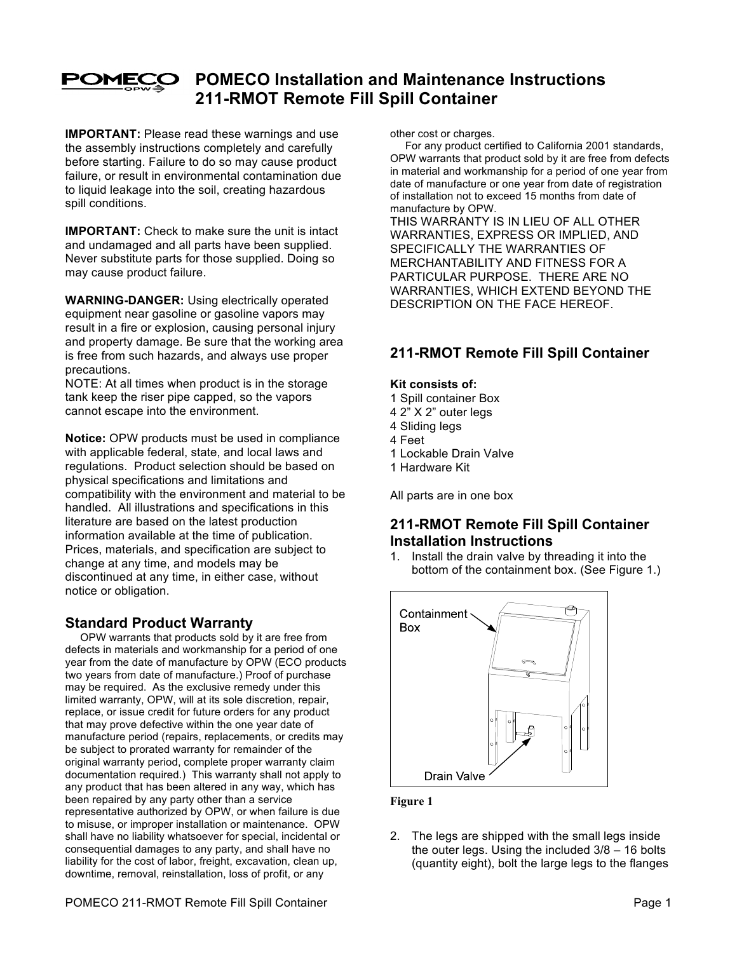

# **POMECO Installation and Maintenance Instructions 211-RMOT Remote Fill Spill Container**

**IMPORTANT:** Please read these warnings and use the assembly instructions completely and carefully before starting. Failure to do so may cause product failure, or result in environmental contamination due to liquid leakage into the soil, creating hazardous spill conditions.

**IMPORTANT:** Check to make sure the unit is intact and undamaged and all parts have been supplied. Never substitute parts for those supplied. Doing so may cause product failure.

**WARNING-DANGER:** Using electrically operated equipment near gasoline or gasoline vapors may result in a fire or explosion, causing personal injury and property damage. Be sure that the working area is free from such hazards, and always use proper precautions.

NOTE: At all times when product is in the storage tank keep the riser pipe capped, so the vapors cannot escape into the environment.

**Notice:** OPW products must be used in compliance with applicable federal, state, and local laws and regulations. Product selection should be based on physical specifications and limitations and compatibility with the environment and material to be handled. All illustrations and specifications in this literature are based on the latest production information available at the time of publication. Prices, materials, and specification are subject to change at any time, and models may be discontinued at any time, in either case, without notice or obligation.

## **Standard Product Warranty**

 OPW warrants that products sold by it are free from defects in materials and workmanship for a period of one year from the date of manufacture by OPW (ECO products two years from date of manufacture.) Proof of purchase may be required. As the exclusive remedy under this limited warranty, OPW, will at its sole discretion, repair, replace, or issue credit for future orders for any product that may prove defective within the one year date of manufacture period (repairs, replacements, or credits may be subject to prorated warranty for remainder of the original warranty period, complete proper warranty claim documentation required.) This warranty shall not apply to any product that has been altered in any way, which has been repaired by any party other than a service representative authorized by OPW, or when failure is due to misuse, or improper installation or maintenance. OPW shall have no liability whatsoever for special, incidental or consequential damages to any party, and shall have no liability for the cost of labor, freight, excavation, clean up, downtime, removal, reinstallation, loss of profit, or any

other cost or charges.

 For any product certified to California 2001 standards, OPW warrants that product sold by it are free from defects in material and workmanship for a period of one year from date of manufacture or one year from date of registration of installation not to exceed 15 months from date of manufacture by OPW.

THIS WARRANTY IS IN LIEU OF ALL OTHER WARRANTIES, EXPRESS OR IMPLIED, AND SPECIFICALLY THE WARRANTIES OF MERCHANTABILITY AND FITNESS FOR A PARTICULAR PURPOSE. THERE ARE NO WARRANTIES, WHICH EXTEND BEYOND THE DESCRIPTION ON THE FACE HEREOF.

## **211-RMOT Remote Fill Spill Container**

## **Kit consists of:**

- 1 Spill container Box
- 4 2" X 2" outer legs
- 4 Sliding legs
- 4 Feet
- 1 Lockable Drain Valve
- 1 Hardware Kit

All parts are in one box

## **211-RMOT Remote Fill Spill Container Installation Instructions**

1. Install the drain valve by threading it into the bottom of the containment box. (See Figure 1.)



## **Figure 1**

2. The legs are shipped with the small legs inside the outer legs. Using the included 3/8 – 16 bolts (quantity eight), bolt the large legs to the flanges